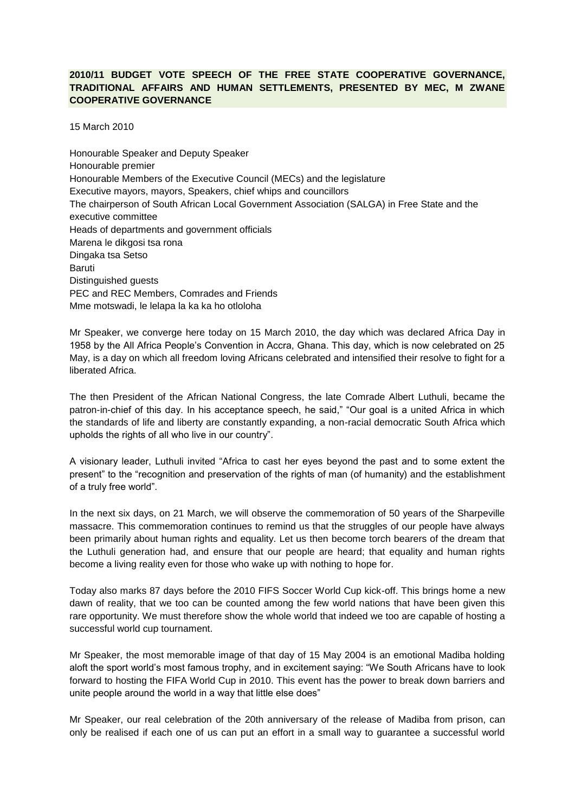## **2010/11 BUDGET VOTE SPEECH OF THE FREE STATE COOPERATIVE GOVERNANCE, TRADITIONAL AFFAIRS AND HUMAN SETTLEMENTS, PRESENTED BY MEC, M ZWANE COOPERATIVE GOVERNANCE**

15 March 2010

Honourable Speaker and Deputy Speaker Honourable premier Honourable Members of the Executive Council (MECs) and the legislature Executive mayors, mayors, Speakers, chief whips and councillors The chairperson of South African Local Government Association (SALGA) in Free State and the executive committee Heads of departments and government officials Marena le dikgosi tsa rona Dingaka tsa Setso Baruti Distinguished guests PEC and REC Members, Comrades and Friends Mme motswadi, le lelapa la ka ka ho otloloha

Mr Speaker, we converge here today on 15 March 2010, the day which was declared Africa Day in 1958 by the All Africa People's Convention in Accra, Ghana. This day, which is now celebrated on 25 May, is a day on which all freedom loving Africans celebrated and intensified their resolve to fight for a liberated Africa.

The then President of the African National Congress, the late Comrade Albert Luthuli, became the patron-in-chief of this day. In his acceptance speech, he said," "Our goal is a united Africa in which the standards of life and liberty are constantly expanding, a non-racial democratic South Africa which upholds the rights of all who live in our country".

A visionary leader, Luthuli invited "Africa to cast her eyes beyond the past and to some extent the present" to the "recognition and preservation of the rights of man (of humanity) and the establishment of a truly free world".

In the next six days, on 21 March, we will observe the commemoration of 50 years of the Sharpeville massacre. This commemoration continues to remind us that the struggles of our people have always been primarily about human rights and equality. Let us then become torch bearers of the dream that the Luthuli generation had, and ensure that our people are heard; that equality and human rights become a living reality even for those who wake up with nothing to hope for.

Today also marks 87 days before the 2010 FIFS Soccer World Cup kick-off. This brings home a new dawn of reality, that we too can be counted among the few world nations that have been given this rare opportunity. We must therefore show the whole world that indeed we too are capable of hosting a successful world cup tournament.

Mr Speaker, the most memorable image of that day of 15 May 2004 is an emotional Madiba holding aloft the sport world's most famous trophy, and in excitement saying: "We South Africans have to look forward to hosting the FIFA World Cup in 2010. This event has the power to break down barriers and unite people around the world in a way that little else does"

Mr Speaker, our real celebration of the 20th anniversary of the release of Madiba from prison, can only be realised if each one of us can put an effort in a small way to guarantee a successful world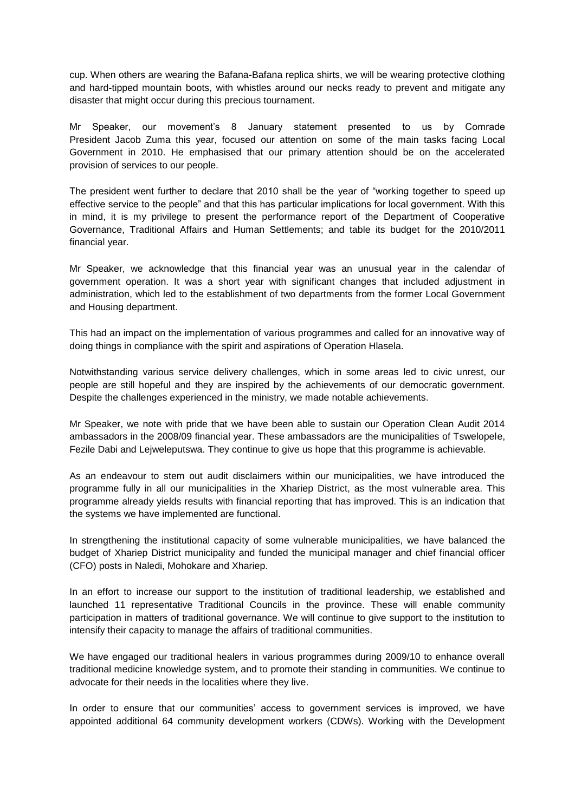cup. When others are wearing the Bafana-Bafana replica shirts, we will be wearing protective clothing and hard-tipped mountain boots, with whistles around our necks ready to prevent and mitigate any disaster that might occur during this precious tournament.

Mr Speaker, our movement's 8 January statement presented to us by Comrade President Jacob Zuma this year, focused our attention on some of the main tasks facing Local Government in 2010. He emphasised that our primary attention should be on the accelerated provision of services to our people.

The president went further to declare that 2010 shall be the year of "working together to speed up effective service to the people" and that this has particular implications for local government. With this in mind, it is my privilege to present the performance report of the Department of Cooperative Governance, Traditional Affairs and Human Settlements; and table its budget for the 2010/2011 financial year.

Mr Speaker, we acknowledge that this financial year was an unusual year in the calendar of government operation. It was a short year with significant changes that included adjustment in administration, which led to the establishment of two departments from the former Local Government and Housing department.

This had an impact on the implementation of various programmes and called for an innovative way of doing things in compliance with the spirit and aspirations of Operation Hlasela.

Notwithstanding various service delivery challenges, which in some areas led to civic unrest, our people are still hopeful and they are inspired by the achievements of our democratic government. Despite the challenges experienced in the ministry, we made notable achievements.

Mr Speaker, we note with pride that we have been able to sustain our Operation Clean Audit 2014 ambassadors in the 2008/09 financial year. These ambassadors are the municipalities of Tswelopele, Fezile Dabi and Lejweleputswa. They continue to give us hope that this programme is achievable.

As an endeavour to stem out audit disclaimers within our municipalities, we have introduced the programme fully in all our municipalities in the Xhariep District, as the most vulnerable area. This programme already yields results with financial reporting that has improved. This is an indication that the systems we have implemented are functional.

In strengthening the institutional capacity of some vulnerable municipalities, we have balanced the budget of Xhariep District municipality and funded the municipal manager and chief financial officer (CFO) posts in Naledi, Mohokare and Xhariep.

In an effort to increase our support to the institution of traditional leadership, we established and launched 11 representative Traditional Councils in the province. These will enable community participation in matters of traditional governance. We will continue to give support to the institution to intensify their capacity to manage the affairs of traditional communities.

We have engaged our traditional healers in various programmes during 2009/10 to enhance overall traditional medicine knowledge system, and to promote their standing in communities. We continue to advocate for their needs in the localities where they live.

In order to ensure that our communities' access to government services is improved, we have appointed additional 64 community development workers (CDWs). Working with the Development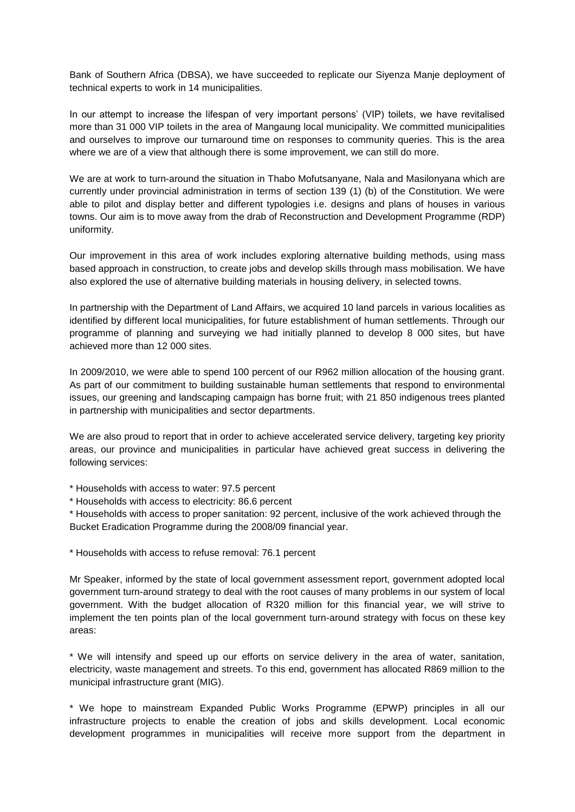Bank of Southern Africa (DBSA), we have succeeded to replicate our Siyenza Manje deployment of technical experts to work in 14 municipalities.

In our attempt to increase the lifespan of very important persons' (VIP) toilets, we have revitalised more than 31 000 VIP toilets in the area of Mangaung local municipality. We committed municipalities and ourselves to improve our turnaround time on responses to community queries. This is the area where we are of a view that although there is some improvement, we can still do more.

We are at work to turn-around the situation in Thabo Mofutsanyane, Nala and Masilonyana which are currently under provincial administration in terms of section 139 (1) (b) of the Constitution. We were able to pilot and display better and different typologies i.e. designs and plans of houses in various towns. Our aim is to move away from the drab of Reconstruction and Development Programme (RDP) uniformity.

Our improvement in this area of work includes exploring alternative building methods, using mass based approach in construction, to create jobs and develop skills through mass mobilisation. We have also explored the use of alternative building materials in housing delivery, in selected towns.

In partnership with the Department of Land Affairs, we acquired 10 land parcels in various localities as identified by different local municipalities, for future establishment of human settlements. Through our programme of planning and surveying we had initially planned to develop 8 000 sites, but have achieved more than 12 000 sites.

In 2009/2010, we were able to spend 100 percent of our R962 million allocation of the housing grant. As part of our commitment to building sustainable human settlements that respond to environmental issues, our greening and landscaping campaign has borne fruit; with 21 850 indigenous trees planted in partnership with municipalities and sector departments.

We are also proud to report that in order to achieve accelerated service delivery, targeting key priority areas, our province and municipalities in particular have achieved great success in delivering the following services:

\* Households with access to water: 97.5 percent

\* Households with access to electricity: 86.6 percent

\* Households with access to proper sanitation: 92 percent, inclusive of the work achieved through the Bucket Eradication Programme during the 2008/09 financial year.

\* Households with access to refuse removal: 76.1 percent

Mr Speaker, informed by the state of local government assessment report, government adopted local government turn-around strategy to deal with the root causes of many problems in our system of local government. With the budget allocation of R320 million for this financial year, we will strive to implement the ten points plan of the local government turn-around strategy with focus on these key areas:

\* We will intensify and speed up our efforts on service delivery in the area of water, sanitation, electricity, waste management and streets. To this end, government has allocated R869 million to the municipal infrastructure grant (MIG).

\* We hope to mainstream Expanded Public Works Programme (EPWP) principles in all our infrastructure projects to enable the creation of jobs and skills development. Local economic development programmes in municipalities will receive more support from the department in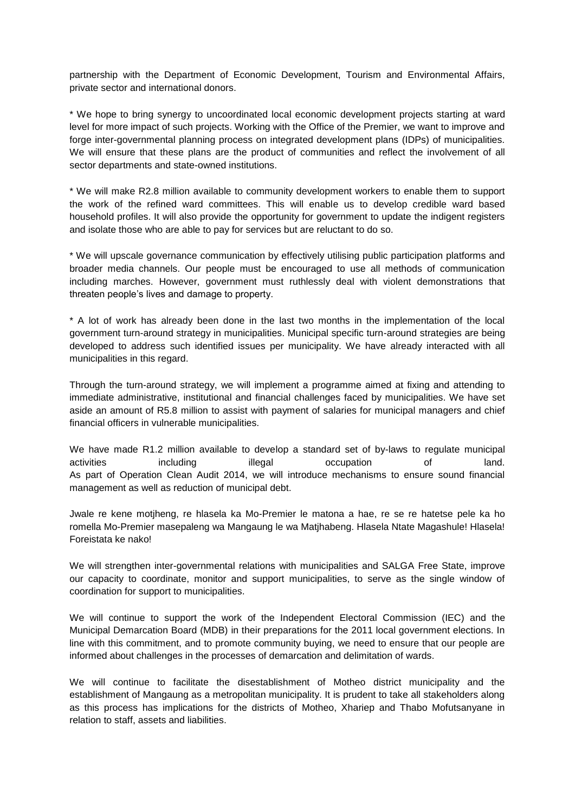partnership with the Department of Economic Development, Tourism and Environmental Affairs, private sector and international donors.

\* We hope to bring synergy to uncoordinated local economic development projects starting at ward level for more impact of such projects. Working with the Office of the Premier, we want to improve and forge inter-governmental planning process on integrated development plans (IDPs) of municipalities. We will ensure that these plans are the product of communities and reflect the involvement of all sector departments and state-owned institutions.

\* We will make R2.8 million available to community development workers to enable them to support the work of the refined ward committees. This will enable us to develop credible ward based household profiles. It will also provide the opportunity for government to update the indigent registers and isolate those who are able to pay for services but are reluctant to do so.

\* We will upscale governance communication by effectively utilising public participation platforms and broader media channels. Our people must be encouraged to use all methods of communication including marches. However, government must ruthlessly deal with violent demonstrations that threaten people's lives and damage to property.

\* A lot of work has already been done in the last two months in the implementation of the local government turn-around strategy in municipalities. Municipal specific turn-around strategies are being developed to address such identified issues per municipality. We have already interacted with all municipalities in this regard.

Through the turn-around strategy, we will implement a programme aimed at fixing and attending to immediate administrative, institutional and financial challenges faced by municipalities. We have set aside an amount of R5.8 million to assist with payment of salaries for municipal managers and chief financial officers in vulnerable municipalities.

We have made R1.2 million available to develop a standard set of by-laws to regulate municipal activities including illegal occupation of land. As part of Operation Clean Audit 2014, we will introduce mechanisms to ensure sound financial management as well as reduction of municipal debt.

Jwale re kene motjheng, re hlasela ka Mo-Premier le matona a hae, re se re hatetse pele ka ho romella Mo-Premier masepaleng wa Mangaung le wa Matjhabeng. Hlasela Ntate Magashule! Hlasela! Foreistata ke nako!

We will strengthen inter-governmental relations with municipalities and SALGA Free State, improve our capacity to coordinate, monitor and support municipalities, to serve as the single window of coordination for support to municipalities.

We will continue to support the work of the Independent Electoral Commission (IEC) and the Municipal Demarcation Board (MDB) in their preparations for the 2011 local government elections. In line with this commitment, and to promote community buying, we need to ensure that our people are informed about challenges in the processes of demarcation and delimitation of wards.

We will continue to facilitate the disestablishment of Motheo district municipality and the establishment of Mangaung as a metropolitan municipality. It is prudent to take all stakeholders along as this process has implications for the districts of Motheo, Xhariep and Thabo Mofutsanyane in relation to staff, assets and liabilities.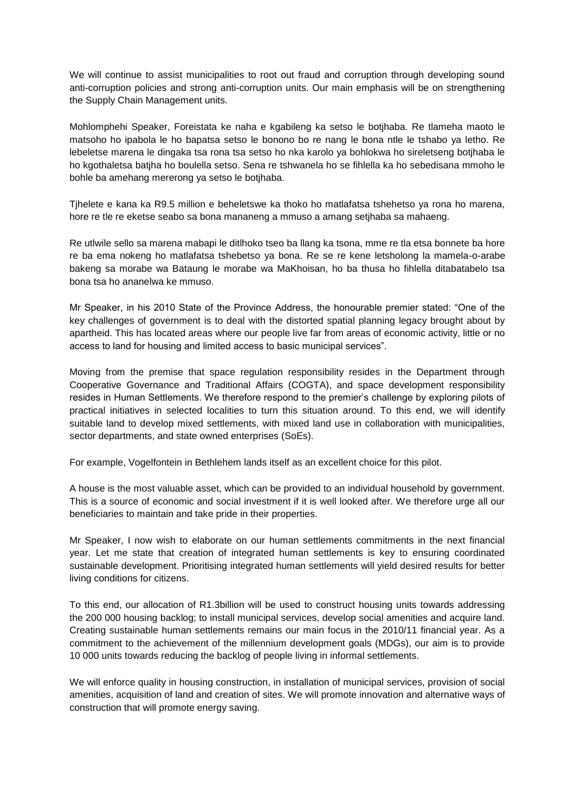We will continue to assist municipalities to root out fraud and corruption through developing sound anti-corruption policies and strong anti-corruption units. Our main emphasis will be on strengthening the Supply Chain Management units.

Mohlomphehi Speaker, Foreistata ke naha e kgabileng ka setso le botjhaba. Re tlameha maoto le matsoho ho ipabola le ho bapatsa setso le bonono bo re nang le bona ntle le tshabo ya letho. Re lebeletse marena le dingaka tsa rona tsa setso ho nka karolo ya bohlokwa ho sireletseng botjhaba le ho kgothaletsa batjha ho boulella setso. Sena re tshwanela ho se fihlella ka ho sebedisana mmoho le bohle ba amehang mererong ya setso le botjhaba.

Tjhelete e kana ka R9.5 million e beheletswe ka thoko ho matlafatsa tshehetso ya rona ho marena, hore re tle re eketse seabo sa bona mananeng a mmuso a amang setjhaba sa mahaeng.

Re utlwile sello sa marena mabapi le ditlhoko tseo ba llang ka tsona, mme re tla etsa bonnete ba hore re ba ema nokeng ho matlafatsa tshebetso ya bona. Re se re kene letsholong la mamela-o-arabe bakeng sa morabe wa Bataung le morabe wa MaKhoisan, ho ba thusa ho fihlella ditabatabelo tsa bona tsa ho ananelwa ke mmuso.

Mr Speaker, in his 2010 State of the Province Address, the honourable premier stated: "One of the key challenges of government is to deal with the distorted spatial planning legacy brought about by apartheid. This has located areas where our people live far from areas of economic activity, little or no access to land for housing and limited access to basic municipal services".

Moving from the premise that space regulation responsibility resides in the Department through Cooperative Governance and Traditional Affairs (COGTA), and space development responsibility resides in Human Settlements. We therefore respond to the premier's challenge by exploring pilots of practical initiatives in selected localities to turn this situation around. To this end, we will identify suitable land to develop mixed settlements, with mixed land use in collaboration with municipalities, sector departments, and state owned enterprises (SoEs).

For example, Vogelfontein in Bethlehem lands itself as an excellent choice for this pilot.

A house is the most valuable asset, which can be provided to an individual household by government. This is a source of economic and social investment if it is well looked after. We therefore urge all our beneficiaries to maintain and take pride in their properties.

Mr Speaker, I now wish to elaborate on our human settlements commitments in the next financial year. Let me state that creation of integrated human settlements is key to ensuring coordinated sustainable development. Prioritising integrated human settlements will yield desired results for better living conditions for citizens.

To this end, our allocation of R1.3billion will be used to construct housing units towards addressing the 200 000 housing backlog; to install municipal services, develop social amenities and acquire land. Creating sustainable human settlements remains our main focus in the 2010/11 financial year. As a commitment to the achievement of the millennium development goals (MDGs), our aim is to provide 10 000 units towards reducing the backlog of people living in informal settlements.

We will enforce quality in housing construction, in installation of municipal services, provision of social amenities, acquisition of land and creation of sites. We will promote innovation and alternative ways of construction that will promote energy saving.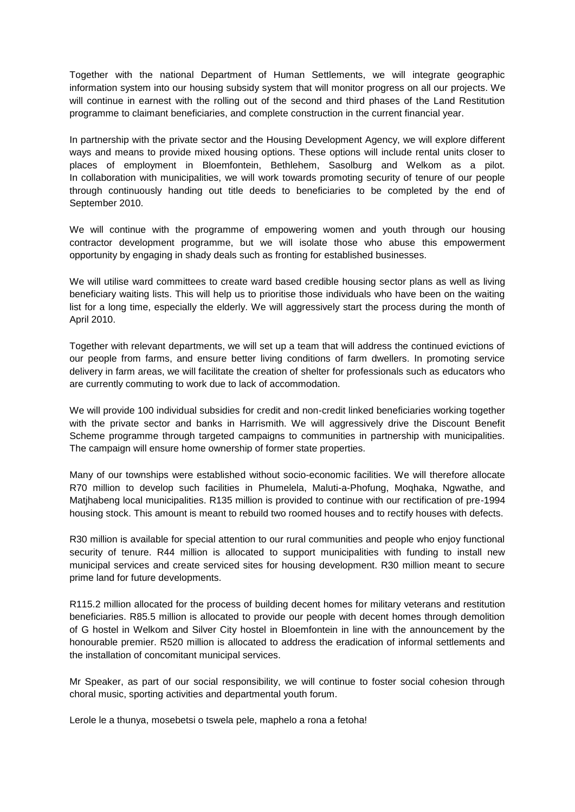Together with the national Department of Human Settlements, we will integrate geographic information system into our housing subsidy system that will monitor progress on all our projects. We will continue in earnest with the rolling out of the second and third phases of the Land Restitution programme to claimant beneficiaries, and complete construction in the current financial year.

In partnership with the private sector and the Housing Development Agency, we will explore different ways and means to provide mixed housing options. These options will include rental units closer to places of employment in Bloemfontein, Bethlehem, Sasolburg and Welkom as a pilot. In collaboration with municipalities, we will work towards promoting security of tenure of our people through continuously handing out title deeds to beneficiaries to be completed by the end of September 2010.

We will continue with the programme of empowering women and youth through our housing contractor development programme, but we will isolate those who abuse this empowerment opportunity by engaging in shady deals such as fronting for established businesses.

We will utilise ward committees to create ward based credible housing sector plans as well as living beneficiary waiting lists. This will help us to prioritise those individuals who have been on the waiting list for a long time, especially the elderly. We will aggressively start the process during the month of April 2010.

Together with relevant departments, we will set up a team that will address the continued evictions of our people from farms, and ensure better living conditions of farm dwellers. In promoting service delivery in farm areas, we will facilitate the creation of shelter for professionals such as educators who are currently commuting to work due to lack of accommodation.

We will provide 100 individual subsidies for credit and non-credit linked beneficiaries working together with the private sector and banks in Harrismith. We will aggressively drive the Discount Benefit Scheme programme through targeted campaigns to communities in partnership with municipalities. The campaign will ensure home ownership of former state properties.

Many of our townships were established without socio-economic facilities. We will therefore allocate R70 million to develop such facilities in Phumelela, Maluti-a-Phofung, Moqhaka, Ngwathe, and Matjhabeng local municipalities. R135 million is provided to continue with our rectification of pre-1994 housing stock. This amount is meant to rebuild two roomed houses and to rectify houses with defects.

R30 million is available for special attention to our rural communities and people who enjoy functional security of tenure. R44 million is allocated to support municipalities with funding to install new municipal services and create serviced sites for housing development. R30 million meant to secure prime land for future developments.

R115.2 million allocated for the process of building decent homes for military veterans and restitution beneficiaries. R85.5 million is allocated to provide our people with decent homes through demolition of G hostel in Welkom and Silver City hostel in Bloemfontein in line with the announcement by the honourable premier. R520 million is allocated to address the eradication of informal settlements and the installation of concomitant municipal services.

Mr Speaker, as part of our social responsibility, we will continue to foster social cohesion through choral music, sporting activities and departmental youth forum.

Lerole le a thunya, mosebetsi o tswela pele, maphelo a rona a fetoha!